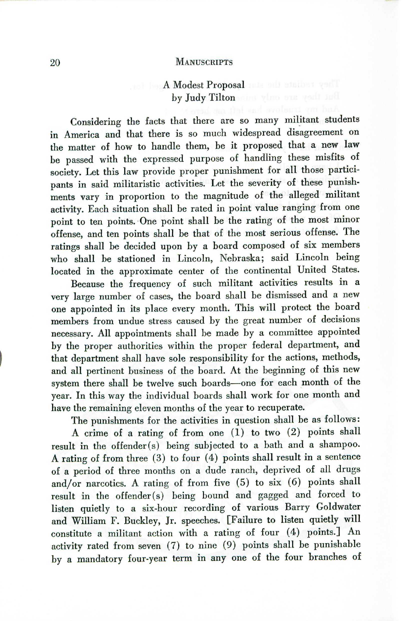### 20 MANUSCRIPTS

# A Modest Proposal by Judy Tilton aim who ous your not

Considering the facts that there are so many militant students in America and that there is so much widespread disagreement on the matter of how to handle them, be it proposed that a new law be passed with the expressed purpose of handling these misfits of society. Let this law provide proper punishment for all those participants in said militaristic activities. Let the severity of these punishments vary in proportion to the magnitude of the alleged militant activity. Each situation shall be rated in point value ranging from one point to ten points. One point shall be the rating of the most minor offense, and ten points shall be that of the most serious offense. The ratings shall be decided upon by a board composed of six members who shall be stationed in Lincoln, Nebraska; said Lincoln being located in the approximate center of the continental United States.

Because the frequency of such militant activities results in a very large number of cases, the board shall be dismissed and a new one appointed in its place every month. This will protect the board members from undue stress caused by the great number of decisions necessary. All appointments shall be made by a committee appointed by the proper authorities within the proper federal department, and that department shall have sole responsibility for the actions, methods, and all pertinent business of the board. At the beginning of this new system there shall be twelve such boards-one for each month of the year. In this way the individual boards shall work for one month and have the remaining eleven months of the year to recuperate.

The punishments for the activities in question shall be as follows:

A crime of a rating of from one (1) to two (2) points shall result in the offender(s) being subjected to a bath and a shampoo. A rating of from three  $(3)$  to four  $(4)$  points shall result in a sentence of a period of three months on a dude ranch, deprived of all drugs and/or narcotics. A rating of from five  $(5)$  to six  $(6)$  points shall result in the offender(s) being bound and gagged and forced to listen quietly to a six-hour recording of various Barry Goldwater and William F. Buckley, Jr. speeches. [Failure to listen quietly will constitute a militant action with a rating of four  $(4)$  points.] An activity rated from seven (7) to nine (9) points shall be punishable by a mandatory four-year term in anyone of the four branches of